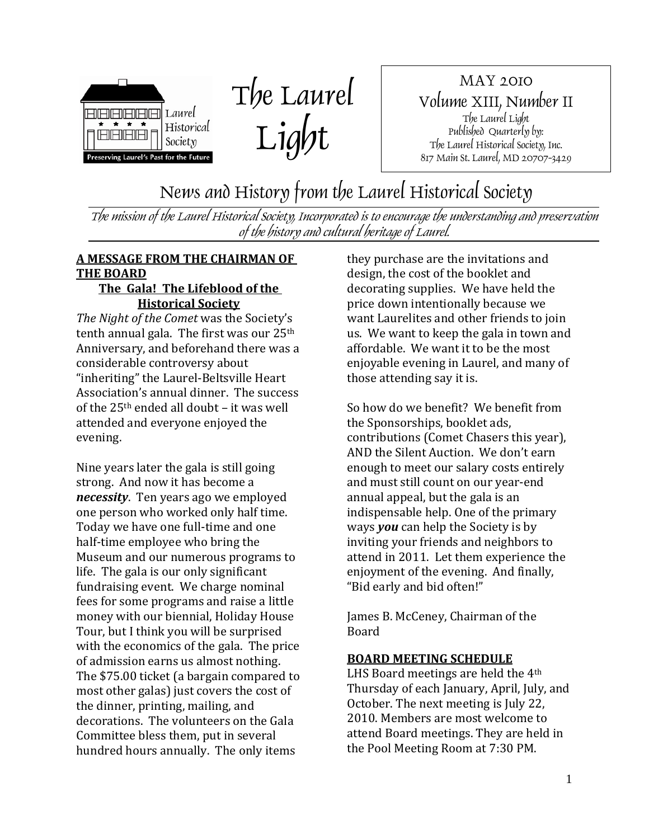

The Laurel Light

MAY 2010 Volume XIII, Number II The Laurel Light Published Quarterly by: The Laurel Historical Society, Inc. 817 Main St. Laurel, MD 20707-3429

News and History from the Laurel Historical Society

The mission of the Laurel Historical Society, Incorporated is to encourage the understanding and preservation of the history and cultural heritage of Laurel.

## **A MESSAGE FROM THE CHAIRMAN OF THE BOARD**

#### **The Gala! The Lifeblood of the Historical Society**

*The Night of the Comet* was the Society's tenth annual gala. The first was our 25<sup>th</sup> Anniversary, and beforehand there was a considerable controversy about "inheriting" the Laurel‐Beltsville Heart Association's annual dinner. The success of the 25th ended all doubt – it was well attended and everyone enjoyed the evening.

Nine years later the gala is still going strong. And now it has become a *necessity*. Ten years ago we employed one person who worked only half time. Today we have one full‐time and one half-time employee who bring the Museum and our numerous programs to life. The gala is our only significant fundraising event. We charge nominal fees for some programs and raise a little money with our biennial, Holiday House Tour, but I think you will be surprised with the economics of the gala. The price of admission earns us almost nothing. The \$75.00 ticket (a bargain compared to most other galas) just covers the cost of the dinner, printing, mailing, and decorations. The volunteers on the Gala Committee bless them, put in several hundred hours annually. The only items

they purchase are the invitations and design, the cost of the booklet and decorating supplies. We have held the price down intentionally because we want Laurelites and other friends to join us. We want to keep the gala in town and affordable. We want it to be the most enjoyable evening in Laurel, and many of those attending say it is.

So how do we benefit? We benefit from the Sponsorships, booklet ads, contributions (Comet Chasers this year), AND the Silent Auction. We don't earn enough to meet our salary costs entirely and must still count on our year‐end annual appeal, but the gala is an indispensable help. One of the primary ways *you* can help the Society is by inviting your friends and neighbors to attend in 2011. Let them experience the enjoyment of the evening. And finally, "Bid early and bid often!"

James B. McCeney, Chairman of the Board

#### **BOARD MEETING SCHEDULE**

LHS Board meetings are held the 4th Thursday of each January, April, July, and October. The next meeting is July 22, 2010. Members are most welcome to attend Board meetings. They are held in the Pool Meeting Room at 7:30 PM.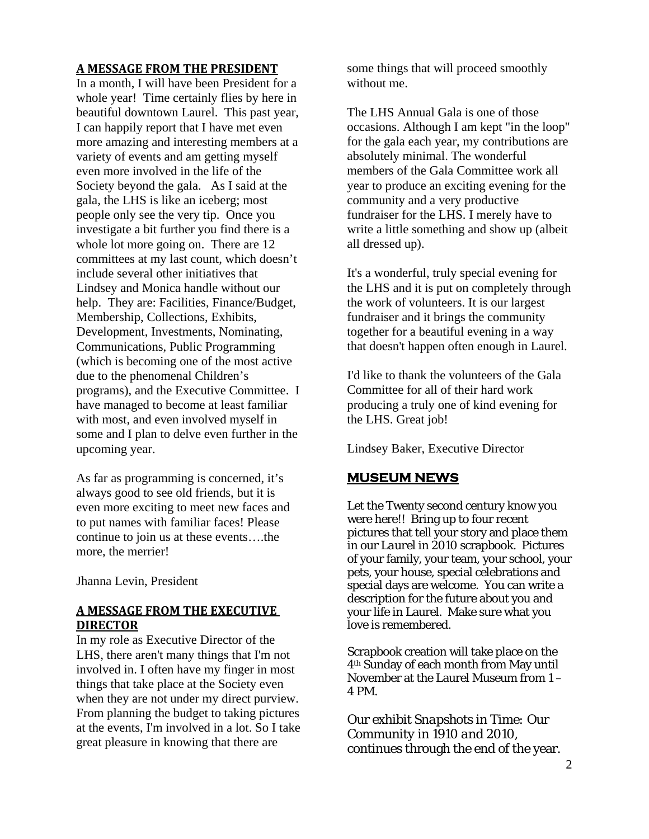#### **A MESSAGE FROM THE PRESIDENT**

In a month, I will have been President for a whole year! Time certainly flies by here in beautiful downtown Laurel. This past year, I can happily report that I have met even more amazing and interesting members at a variety of events and am getting myself even more involved in the life of the Society beyond the gala. As I said at the gala, the LHS is like an iceberg; most people only see the very tip. Once you investigate a bit further you find there is a whole lot more going on. There are 12 committees at my last count, which doesn't include several other initiatives that Lindsey and Monica handle without our help. They are: Facilities, Finance/Budget, Membership, Collections, Exhibits, Development, Investments, Nominating, Communications, Public Programming (which is becoming one of the most active due to the phenomenal Children's programs), and the Executive Committee. I have managed to become at least familiar with most, and even involved myself in some and I plan to delve even further in the upcoming year.

As far as programming is concerned, it's always good to see old friends, but it is even more exciting to meet new faces and to put names with familiar faces! Please continue to join us at these events….the more, the merrier!

Jhanna Levin, President

#### **A MESSAGE FROM THE EXECUTIVE DIRECTOR**

In my role as Executive Director of the LHS, there aren't many things that I'm not involved in. I often have my finger in most things that take place at the Society even when they are not under my direct purview. From planning the budget to taking pictures at the events, I'm involved in a lot. So I take great pleasure in knowing that there are

some things that will proceed smoothly without me.

The LHS Annual Gala is one of those occasions. Although I am kept "in the loop" for the gala each year, my contributions are absolutely minimal. The wonderful members of the Gala Committee work all year to produce an exciting evening for the community and a very productive fundraiser for the LHS. I merely have to write a little something and show up (albeit all dressed up).

It's a wonderful, truly special evening for the LHS and it is put on completely through the work of volunteers. It is our largest fundraiser and it brings the community together for a beautiful evening in a way that doesn't happen often enough in Laurel.

I'd like to thank the volunteers of the Gala Committee for all of their hard work producing a truly one of kind evening for the LHS. Great job!

Lindsey Baker, Executive Director

#### **MUSEUM NEWS**

Let the Twenty second century know you were here!! Bring up to four recent pictures that tell your story and place them in our *Laurel in 2010* scrapbook. Pictures of your family, your team, your school, your pets, your house, special celebrations and special days are welcome. You can write a description for the future about you and your life in Laurel. Make sure what you love is remembered.

Scrapbook creation will take place on the 4th Sunday of each month from May until November at the Laurel Museum from 1 – 4 PM.

Our exhibit *Snapshots in Time: Our Community in 1910 and 2010*, continues through the end of the year.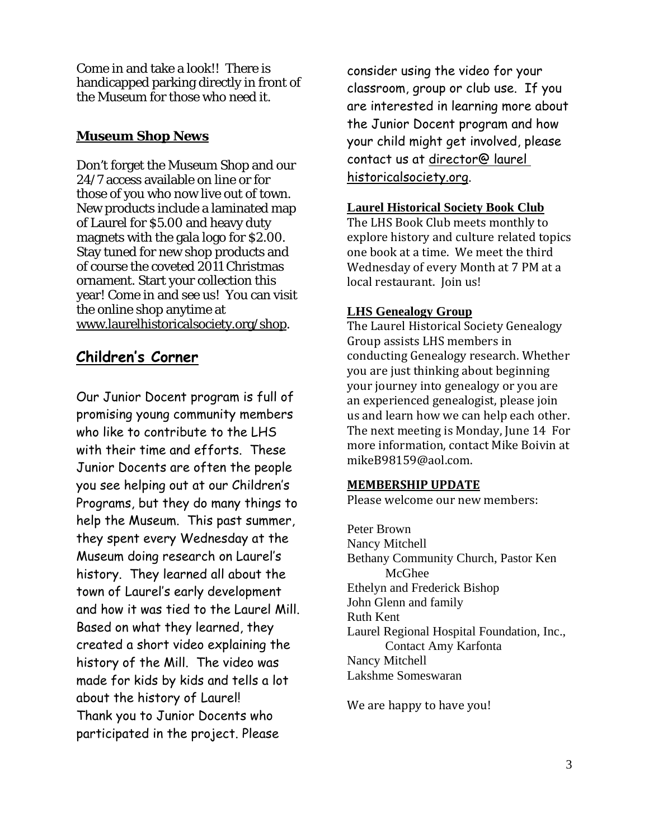Come in and take a look!! There is handicapped parking directly in front of the Museum for those who need it.

### **Museum Shop News**

Don't forget the Museum Shop and our 24/7 access available on line or for those of you who now live out of town. New products include a laminated map of Laurel for \$5.00 and heavy duty magnets with the gala logo for \$2.00. Stay tuned for new shop products and of course the coveted 2011 Christmas ornament. Start your collection this year! Come in and see us! You can visit the online shop anytime at www.laurelhistoricalsociety.org/shop.

# **Children's Corner**

Our Junior Docent program is full of promising young community members who like to contribute to the LHS with their time and efforts. These Junior Docents are often the people you see helping out at our Children's Programs, but they do many things to help the Museum. This past summer, they spent every Wednesday at the Museum doing research on Laurel's history. They learned all about the town of Laurel's early development and how it was tied to the Laurel Mill. Based on what they learned, they created a short video explaining the history of the Mill. The video was made for kids by kids and tells a lot about the history of Laurel! Thank you to Junior Docents who participated in the project. Please

consider using the video for your classroom, group or club use. If you are interested in learning more about the Junior Docent program and how your child might get involved, please contact us at director@ laurel historicalsociety.org.

#### **Laurel Historical Society Book Club**

The LHS Book Club meets monthly to explore history and culture related topics one book at a time. We meet the third Wednesday of every Month at 7 PM at a local restaurant. Join us!

#### **LHS Genealogy Group**

The Laurel Historical Society Genealogy Group assists LHS members in conducting Genealogy research. Whether you are just thinking about beginning your journey into genealogy or you are an experienced genealogist, please join us and learn how we can help each other. The next meeting is Monday, June 14 For more information, contact Mike Boivin at mikeB98159@aol.com.

#### **MEMBERSHIP UPDATE**

Please welcome our new members:

Peter Brown Nancy Mitchell Bethany Community Church, Pastor Ken McGhee Ethelyn and Frederick Bishop John Glenn and family Ruth Kent Laurel Regional Hospital Foundation, Inc., Contact Amy Karfonta Nancy Mitchell Lakshme Someswaran

We are happy to have you!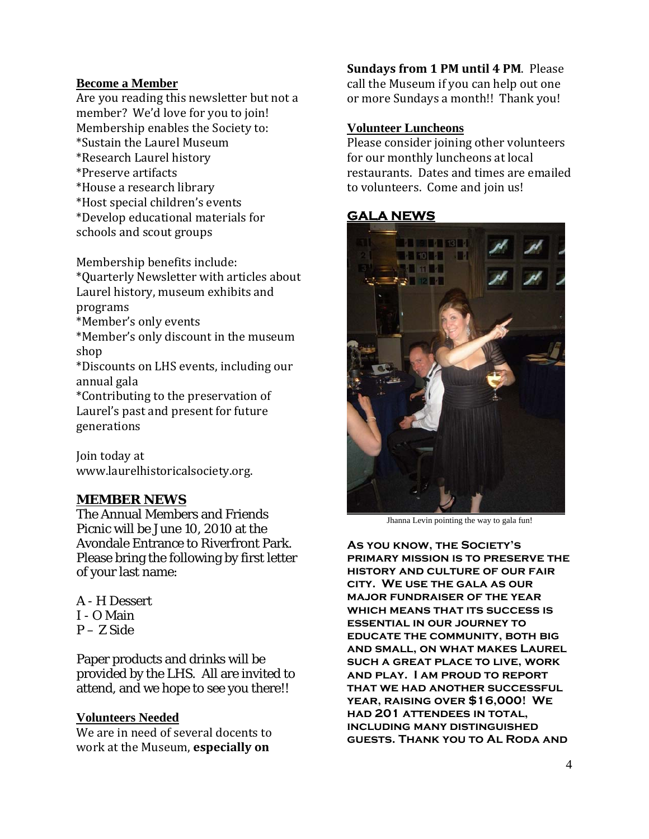#### **Become a Member**

Are you reading this newsletter but not a member? We'd love for you to join! Membership enables the Society to: \*Sustain the Laurel Museum \*Research Laurel history \*Preserve artifacts \*House a research library \*Host special children's events \*Develop educational materials for schools and scout groups

Membership benefits include: \*Quarterly Newsletter with articles about Laurel history, museum exhibits and programs \*Member's only events \*Member's only discount in the museum shop \*Discounts on LHS events, including our annual gala \*Contributing to the preservation of Laurel's past and present for future

generations

Join today at www.laurelhistoricalsociety.org.

#### **MEMBER NEWS**

The Annual Members and Friends Picnic will be June 10, 2010 at the Avondale Entrance to Riverfront Park. Please bring the following by first letter of your last name:

A - H Dessert I - O Main P – Z Side

Paper products and drinks will be provided by the LHS. All are invited to attend, and we hope to see you there!!

#### **Volunteers Needed**

We are in need of several docents to work at the Museum, **especially on**

**Sundays from 1 PM until 4 PM**. Please call the Museum if you can help out one or more Sundays a month!! Thank you!

#### **Volunteer Luncheons**

Please consider joining other volunteers for our monthly luncheons at local restaurants. Dates and times are emailed to volunteers. Come and join us!

### **GALA NEWS**



Jhanna Levin pointing the way to gala fun!

**As you know, the Society's primary mission is to preserve the history and culture of our fair city. We use the gala as our major fundraiser of the year which means that its success is essential in our journey to educate the community, both big and small, on what makes Laurel such a great place to live, work and play. I am proud to report that we had another successful year, raising over \$16,000! We had 201 attendees in total, including many distinguished guests. Thank you to Al Roda and**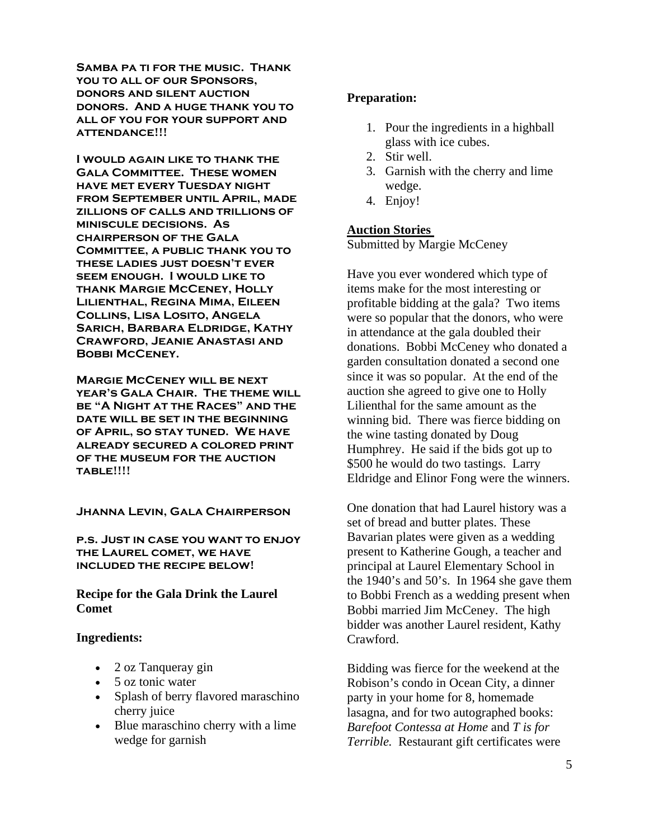**Samba pa ti for the music. Thank you to all of our Sponsors, donors and silent auction donors. And a huge thank you to all of you for your support and attendance!!!** 

**I would again like to thank the Gala Committee. These women have met every Tuesday night from September until April, made zillions of calls and trillions of miniscule decisions. As chairperson of the Gala Committee, a public thank you to these ladies just doesn't ever seem enough. I would like to thank Margie McCeney, Holly Lilienthal, Regina Mima, Eileen Collins, Lisa Losito, Angela Sarich, Barbara Eldridge, Kathy Crawford, Jeanie Anastasi and BOBBI MCCENEY.** 

**Margie McCeney will be next year's Gala Chair. The theme will be "A Night at the Races" and the date will be set in the beginning of April, so stay tuned. We have already secured a colored print of the museum for the auction table!!!!** 

**Jhanna Levin, Gala Chairperson** 

**p.s. Just in case you want to enjoy the Laurel comet, we have included the recipe below!** 

**Recipe for the Gala Drink the Laurel Comet** 

#### **Ingredients:**

- 2 oz Tanqueray gin
- 5 oz tonic water
- Splash of berry flavored maraschino cherry juice
- Blue maraschino cherry with a lime wedge for garnish

#### **Preparation:**

- 1. Pour the ingredients in a highball glass with ice cubes.
- 2. Stir well.
- 3. Garnish with the cherry and lime wedge.
- 4. Enjoy!

#### **Auction Stories**

Submitted by Margie McCeney

Have you ever wondered which type of items make for the most interesting or profitable bidding at the gala? Two items were so popular that the donors, who were in attendance at the gala doubled their donations. Bobbi McCeney who donated a garden consultation donated a second one since it was so popular. At the end of the auction she agreed to give one to Holly Lilienthal for the same amount as the winning bid. There was fierce bidding on the wine tasting donated by Doug Humphrey. He said if the bids got up to \$500 he would do two tastings. Larry Eldridge and Elinor Fong were the winners.

One donation that had Laurel history was a set of bread and butter plates. These Bavarian plates were given as a wedding present to Katherine Gough, a teacher and principal at Laurel Elementary School in the 1940's and 50's. In 1964 she gave them to Bobbi French as a wedding present when Bobbi married Jim McCeney. The high bidder was another Laurel resident, Kathy Crawford.

Bidding was fierce for the weekend at the Robison's condo in Ocean City, a dinner party in your home for 8, homemade lasagna, and for two autographed books: *Barefoot Contessa at Home* and *T is for Terrible.* Restaurant gift certificates were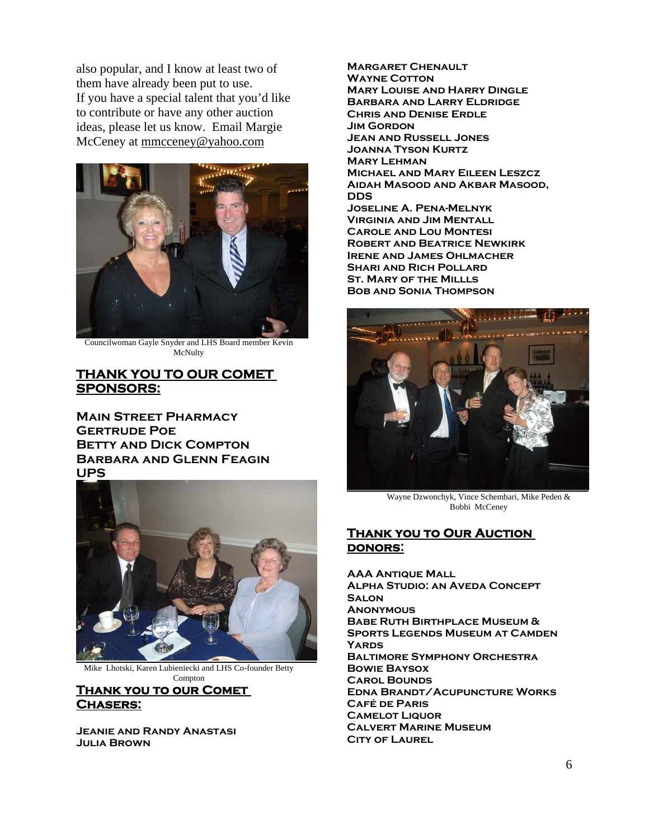also popular, and I know at least two of them have already been put to use. If you have a special talent that you'd like to contribute or have any other auction ideas, please let us know. Email Margie McCeney at mmcceney@yahoo.com



Councilwoman Gayle Snyder and LHS Board member Kevin McNulty

#### **THANK YOU TO OUR COMET SPONSORS:**

**Main Street Pharmacy Gertrude Poe Betty and Dick Compton Barbara and Glenn Feagin UPS** 



Mike Lhotski, Karen Lubieniecki and LHS Co-founder Betty Compton

#### **Thank you to our Comet Chasers:**

**Jeanie and Randy Anastasi Julia Brown** 

**Margaret Chenault Wayne Cotton Mary Louise and Harry Dingle Barbara and Larry Eldridge Chris and Denise Erdle Jim Gordon Jean and Russell Jones Joanna Tyson Kurtz Mary Lehman Michael and Mary Eileen Leszcz Aidah Masood and Akbar Masood, DDS Joseline A. Pena-Melnyk Virginia and Jim Mentall Carole and Lou Montesi Robert and Beatrice Newkirk Irene and James Ohlmacher SHARI AND RICH POLLARD St. Mary of the Millls Bob and Sonia Thompson** 



Wayne Dzwonchyk, Vince Schembari, Mike Peden & Bobbi McCeney

#### **Thank you to Our Auction donors:**

**AAA Antique Mall Alpha Studio: an Aveda Concept Salon Anonymous Babe Ruth Birthplace Museum & Sports Legends Museum at Camden Yards Baltimore Symphony Orchestra Bowie Baysox Carol Bounds Edna Brandt/Acupuncture Works Café de Paris Camelot Liquor Calvert Marine Museum CITY OF LAUREL**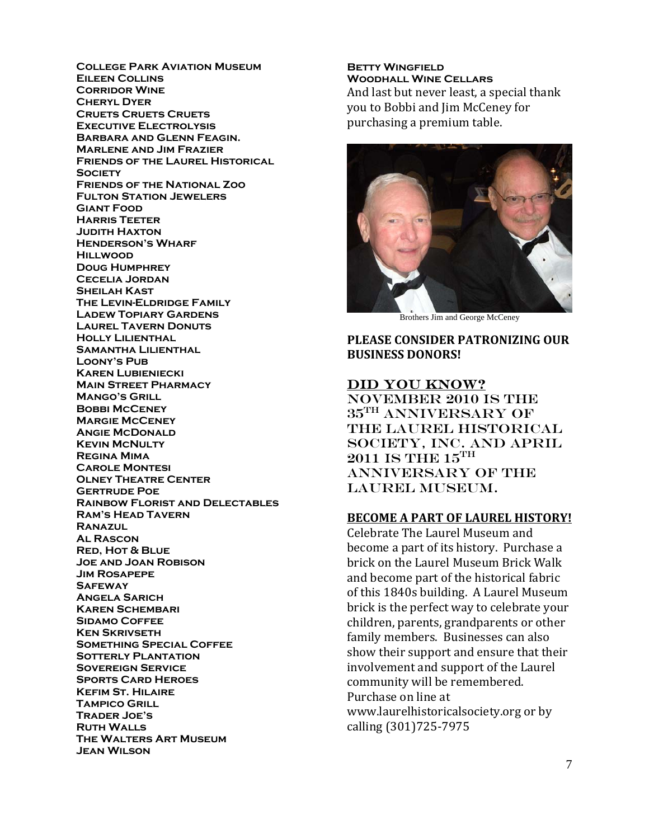**College Park Aviation Museum Eileen Collins Corridor Wine Cheryl Dyer Cruets Cruets Cruets Executive Electrolysis Barbara and Glenn Feagin. Marlene and Jim Frazier Friends of the Laurel Historical SOCIETY Friends of the National Zoo Fulton Station Jewelers Giant Food Harris Teeter Judith Haxton Henderson's Wharf Hillwood Doug Humphrey Cecelia Jordan Sheilah Kast The Levin-Eldridge Family Ladew Topiary Gardens Laurel Tavern Donuts Holly Lilienthal Samantha Lilienthal Loony's Pub Karen Lubieniecki Main Street Pharmacy Mango's Grill Bobbi McCeney Margie McCeney Angie McDonald Kevin McNulty Regina Mima Carole Montesi Olney Theatre Center Gertrude Poe Rainbow Florist and Delectables Ram's Head Tavern Ranazul Al Rascon Red, Hot & Blue Joe and Joan Robison Jim Rosapepe Safeway Angela Sarich Karen Schembari Sidamo Coffee Ken Skrivseth Something Special Coffee Sotterly Plantation Sovereign Service Sports Card Heroes Kefim St. Hilaire Tampico Grill Trader Joe's Ruth Walls The Walters Art Museum Jean Wilson** 

**Betty Wingfield Woodhall Wine Cellars**  And last but never least, a special thank you to Bobbi and Jim McCeney for purchasing a premium table.



Brothers Jim and George McCeney

**P LEASE CONSIDER PATRONIZING OUR B USINESS DONORS!**

#### DID YOU KNOW?

November 2010 is the  $35^{\text{TH}}$  ANNIVERSARY OF the Laurel Historical Society, Inc. and APRIL  $2011$  IS THE  $15^{\text{TH}}$ ANNIVERSARY OF THE Laurel Museum.

#### **BECOME A PART OF LAUREL HISTORY!**

Celebrate The Laurel Museum and become a part of its history. Purchase a brick on the Laurel Museum Brick Walk and become part of the historical fabric of this 1840s building. A Laurel Museum brick is the perfect way to celebrate your children, parents, grandparents or other family members. Businesses can also show their support and ensure that their involvement and support of the Laurel community will be remembered. Purchase on line at www.laurelhistoricalsociety.org or by calling (301)725‐7975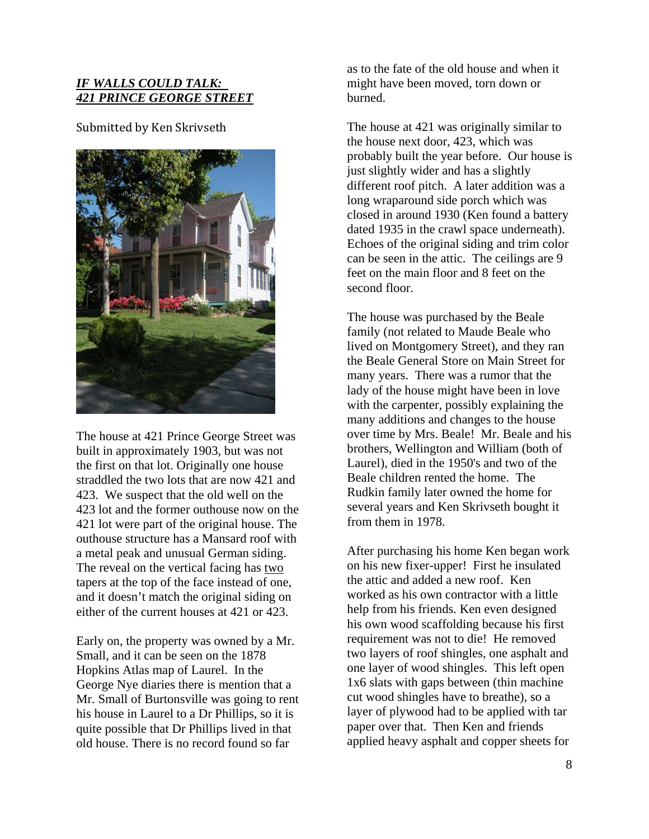#### *IF WALLS COULD TALK: 421 PRINCE GEORGE STREET*

Submitted by Ken Skrivseth



The house at 421 Prince George Street was built in approximately 1903, but was not the first on that lot. Originally one house straddled the two lots that are now 421 and 423. We suspect that the old well on the 423 lot and the former outhouse now on the 421 lot were part of the original house. The outhouse structure has a Mansard roof with a metal peak and unusual German siding. The reveal on the vertical facing has two tapers at the top of the face instead of one, and it doesn't match the original siding on either of the current houses at 421 or 423.

Early on, the property was owned by a Mr. Small, and it can be seen on the 1878 Hopkins Atlas map of Laurel. In the George Nye diaries there is mention that a Mr. Small of Burtonsville was going to rent his house in Laurel to a Dr Phillips, so it is quite possible that Dr Phillips lived in that old house. There is no record found so far

as to the fate of the old house and when it might have been moved, torn down or burned.

The house at 421 was originally similar to the house next door, 423, which was probably built the year before. Our house is just slightly wider and has a slightly different roof pitch. A later addition was a long wraparound side porch which was closed in around 1930 (Ken found a battery dated 1935 in the crawl space underneath). Echoes of the original siding and trim color can be seen in the attic. The ceilings are 9 feet on the main floor and 8 feet on the second floor.

The house was purchased by the Beale family (not related to Maude Beale who lived on Montgomery Street), and they ran the Beale General Store on Main Street for many years. There was a rumor that the lady of the house might have been in love with the carpenter, possibly explaining the many additions and changes to the house over time by Mrs. Beale! Mr. Beale and his brothers, Wellington and William (both of Laurel), died in the 1950's and two of the Beale children rented the home. The Rudkin family later owned the home for several years and Ken Skrivseth bought it from them in 1978.

After purchasing his home Ken began work on his new fixer-upper! First he insulated the attic and added a new roof. Ken worked as his own contractor with a little help from his friends. Ken even designed his own wood scaffolding because his first requirement was not to die! He removed two layers of roof shingles, one asphalt and one layer of wood shingles. This left open 1x6 slats with gaps between (thin machine cut wood shingles have to breathe), so a layer of plywood had to be applied with tar paper over that. Then Ken and friends applied heavy asphalt and copper sheets for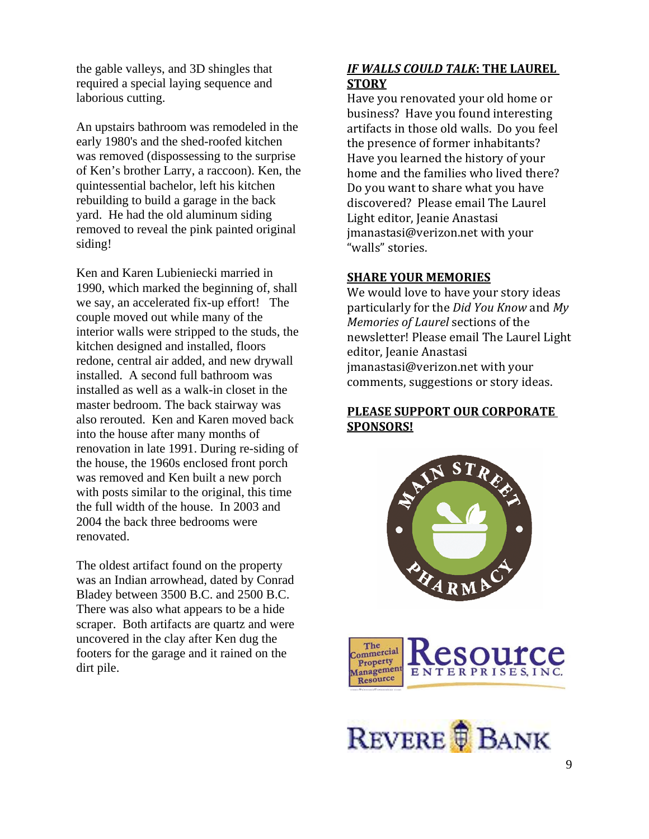the gable valleys, and 3D shingles that required a special laying sequence and laborious cutting.

An upstairs bathroom was remodeled in the early 1980's and the shed-roofed kitchen was removed (dispossessing to the surprise of Ken's brother Larry, a raccoon). Ken, the quintessential bachelor, left his kitchen rebuilding to build a garage in the back yard. He had the old aluminum siding removed to reveal the pink painted original siding!

Ken and Karen Lubieniecki married in 1990, which marked the beginning of, shall we say, an accelerated fix-up effort! The couple moved out while many of the interior walls were stripped to the studs, the kitchen designed and installed, floors redone, central air added, and new drywall installed. A second full bathroom was installed as well as a walk-in closet in the master bedroom. The back stairway was also rerouted. Ken and Karen moved back into the house after many months of renovation in late 1991. During re-siding of the house, the 1960s enclosed front porch was removed and Ken built a new porch with posts similar to the original, this time the full width of the house. In 2003 and 2004 the back three bedrooms were renovated.

The oldest artifact found on the property was an Indian arrowhead, dated by Conrad Bladey between 3500 B.C. and 2500 B.C. There was also what appears to be a hide scraper. Both artifacts are quartz and were uncovered in the clay after Ken dug the footers for the garage and it rained on the dirt pile.

#### *IF WALLS COULD TALK***: THE LAUREL STORY**

Have you renovated your old home or business? Have you found interesting artifacts in those old walls. Do you feel the presence of former inhabitants? Have you learned the history of your home and the families who lived there? Do you want to share what you have discovered? Please email The Laurel Light editor, Jeanie Anastasi manastasi@verizon.net with your j "walls" stories.

#### **SHARE YOUR MEMORIES**

We would love to have your story ideas particularly for the *Did You Know* and *My Memories of Laurel* sections of the newsletter! Please email The Laurel Light editor, Jeanie Anastasi jmanastasi@verizon.net with your comments, suggestions or story ideas.

#### **PLEASE SUPPORT OUR CORPORATE SPONSORS!**





REVERE **B** BANK